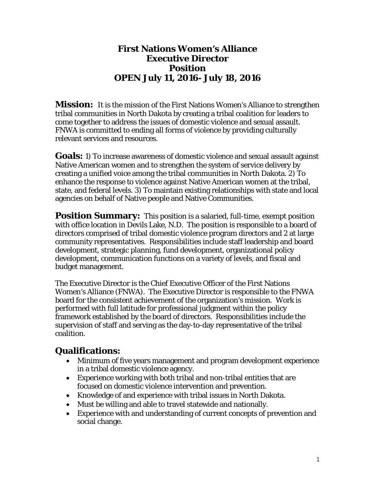#### **First Nations Women's Alliance Executive Director Position OPEN July 11, 2016- July 18, 2016**

**Mission:** It is the mission of the First Nations Women's Alliance to strengthen tribal communities in North Dakota by creating a tribal coalition for leaders to come together to address the issues of domestic violence and sexual assault. FNWA is committed to ending all forms of violence by providing culturally relevant services and resources.

**Goals:** 1) To increase awareness of domestic violence and sexual assault against Native American women and to strengthen the system of service delivery by creating a unified voice among the tribal communities in North Dakota. 2) To enhance the response to violence against Native American women at the tribal, state, and federal levels. 3) To maintain existing relationships with state and local agencies on behalf of Native people and Native Communities.

**Position Summary:** This position is a salaried, full-time, exempt position with office location in Devils Lake, N.D. The position is responsible to a board of directors comprised of tribal domestic violence program directors and 2 at large community representatives. Responsibilities include staff leadership and board development, strategic planning, fund development, organizational policy development, communication functions on a variety of levels, and fiscal and budget management.

The Executive Director is the Chief Executive Officer of the First Nations Women's Alliance (FNWA). The Executive Director is responsible to the FNWA board for the consistent achievement of the organization's mission. Work is performed with full latitude for professional judgment within the policy framework established by the board of directors. Responsibilities include the supervision of staff and serving as the day-to-day representative of the tribal coalition.

#### **Qualifications:**

- Minimum of five years management and program development experience in a tribal domestic violence agency.
- Experience working with both tribal and non-tribal entities that are focused on domestic violence intervention and prevention.
- Knowledge of and experience with tribal issues in North Dakota.
- Must be willing and able to travel statewide and nationally.
- Experience with and understanding of current concepts of prevention and social change.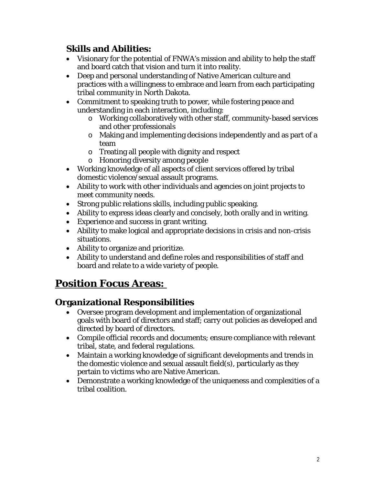## **Skills and Abilities:**

- Visionary for the potential of FNWA's mission and ability to help the staff and board catch that vision and turn it into reality.
- Deep and personal understanding of Native American culture and practices with a willingness to embrace and learn from each participating tribal community in North Dakota.
- Commitment to speaking truth to power, while fostering peace and understanding in each interaction, including:
	- o Working collaboratively with other staff, community-based services and other professionals
	- o Making and implementing decisions independently and as part of a team
	- o Treating all people with dignity and respect
	- o Honoring diversity among people
- Working knowledge of all aspects of client services offered by tribal domestic violence/sexual assault programs.
- Ability to work with other individuals and agencies on joint projects to meet community needs.
- Strong public relations skills, including public speaking.
- Ability to express ideas clearly and concisely, both orally and in writing.
- Experience and success in grant writing.
- Ability to make logical and appropriate decisions in crisis and non-crisis situations.
- Ability to organize and prioritize.
- Ability to understand and define roles and responsibilities of staff and board and relate to a wide variety of people.

# **Position Focus Areas:**

## **Organizational Responsibilities**

- Oversee program development and implementation of organizational goals with board of directors and staff; carry out policies as developed and directed by board of directors.
- Compile official records and documents; ensure compliance with relevant tribal, state, and federal regulations.
- Maintain a working knowledge of significant developments and trends in the domestic violence and sexual assault field(s), particularly as they pertain to victims who are Native American.
- Demonstrate a working knowledge of the uniqueness and complexities of a tribal coalition.